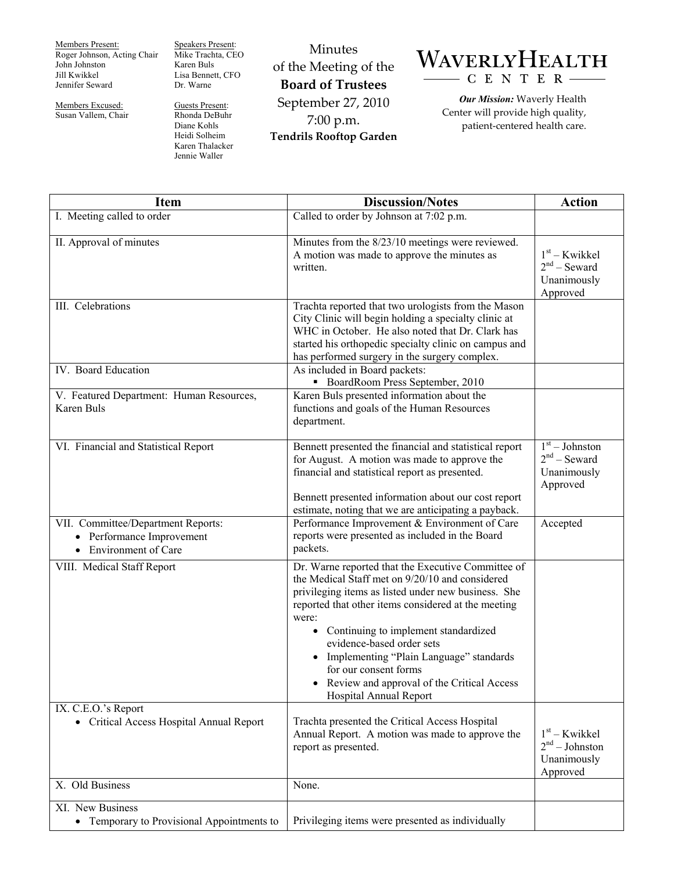Members Present: Roger Johnson, Acting Chair John Johnston Jill Kwikkel Jennifer Seward

Members Excused: Susan Vallem, Chair Speakers Present: Mike Trachta, CEO Karen Buls Lisa Bennett, CFO Dr. Warne

Guests Present: Rhonda DeBuhr Diane Kohls Heidi Solheim Karen Thalacker Jennie Waller

Minutes of the Meeting of the **Board of Trustees**  September 27, 2010 7:00 p.m. **Tendrils Rooftop Garden** 



*Our Mission:* Waverly Health Center will provide high quality, patient-centered health care.

| <b>Item</b>                                                                              | <b>Discussion/Notes</b>                                                                                                                                                                                                                                                                                                                                                                                                                                    | <b>Action</b>                                                  |
|------------------------------------------------------------------------------------------|------------------------------------------------------------------------------------------------------------------------------------------------------------------------------------------------------------------------------------------------------------------------------------------------------------------------------------------------------------------------------------------------------------------------------------------------------------|----------------------------------------------------------------|
| I. Meeting called to order                                                               | Called to order by Johnson at 7:02 p.m.                                                                                                                                                                                                                                                                                                                                                                                                                    |                                                                |
| II. Approval of minutes                                                                  | Minutes from the 8/23/10 meetings were reviewed.<br>A motion was made to approve the minutes as<br>written.                                                                                                                                                                                                                                                                                                                                                | $1st - Kwikkel$<br>$2nd$ – Seward<br>Unanimously<br>Approved   |
| III. Celebrations                                                                        | Trachta reported that two urologists from the Mason<br>City Clinic will begin holding a specialty clinic at<br>WHC in October. He also noted that Dr. Clark has<br>started his orthopedic specialty clinic on campus and<br>has performed surgery in the surgery complex.                                                                                                                                                                                  |                                                                |
| IV. Board Education                                                                      | As included in Board packets:<br>• BoardRoom Press September, 2010                                                                                                                                                                                                                                                                                                                                                                                         |                                                                |
| V. Featured Department: Human Resources,<br>Karen Buls                                   | Karen Buls presented information about the<br>functions and goals of the Human Resources<br>department.                                                                                                                                                                                                                                                                                                                                                    |                                                                |
| VI. Financial and Statistical Report                                                     | Bennett presented the financial and statistical report<br>for August. A motion was made to approve the<br>financial and statistical report as presented.<br>Bennett presented information about our cost report<br>estimate, noting that we are anticipating a payback.                                                                                                                                                                                    | $1st - Johnston$<br>$2nd$ – Seward<br>Unanimously<br>Approved  |
| VII. Committee/Department Reports:<br>• Performance Improvement<br>• Environment of Care | Performance Improvement & Environment of Care<br>reports were presented as included in the Board<br>packets.                                                                                                                                                                                                                                                                                                                                               | Accepted                                                       |
| VIII. Medical Staff Report                                                               | Dr. Warne reported that the Executive Committee of<br>the Medical Staff met on 9/20/10 and considered<br>privileging items as listed under new business. She<br>reported that other items considered at the meeting<br>were:<br>Continuing to implement standardized<br>$\bullet$<br>evidence-based order sets<br>Implementing "Plain Language" standards<br>for our consent forms<br>Review and approval of the Critical Access<br>Hospital Annual Report |                                                                |
| IX. C.E.O.'s Report<br>• Critical Access Hospital Annual Report                          | Trachta presented the Critical Access Hospital<br>Annual Report. A motion was made to approve the<br>report as presented.                                                                                                                                                                                                                                                                                                                                  | $1st - Kwikkel$<br>$2nd - Johnston$<br>Unanimously<br>Approved |
| X. Old Business                                                                          | None.                                                                                                                                                                                                                                                                                                                                                                                                                                                      |                                                                |
| XI. New Business<br>• Temporary to Provisional Appointments to                           | Privileging items were presented as individually                                                                                                                                                                                                                                                                                                                                                                                                           |                                                                |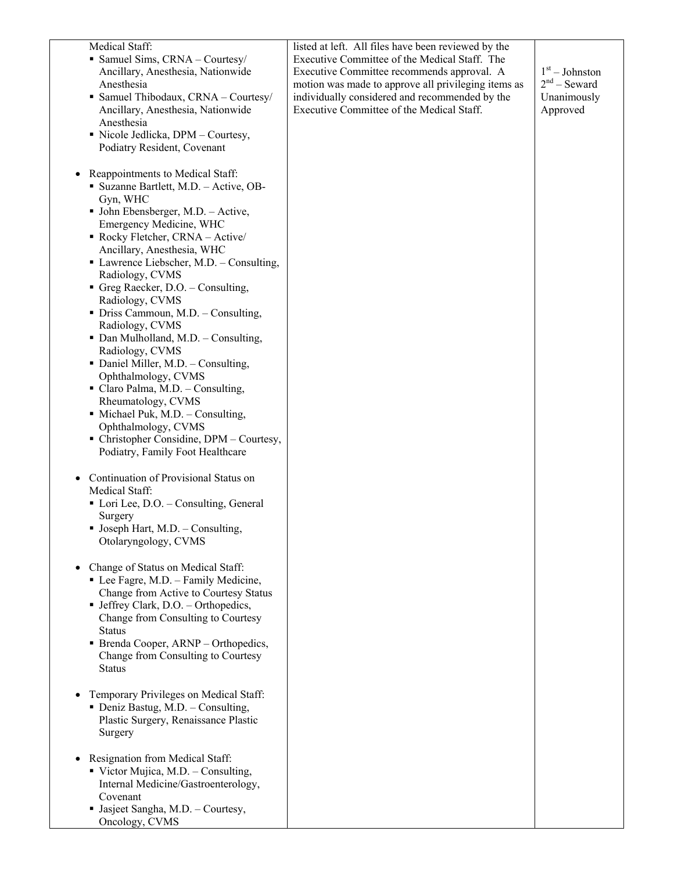| Medical Staff:<br>• Samuel Sims, CRNA - Courtesy/<br>Ancillary, Anesthesia, Nationwide<br>Anesthesia<br>• Samuel Thibodaux, CRNA - Courtesy/<br>Ancillary, Anesthesia, Nationwide<br>Anesthesia<br>• Nicole Jedlicka, DPM – Courtesy,<br>Podiatry Resident, Covenant                                                                                                                                                                                                                                                                                                                                                                                                                                                                                 | listed at left. All files have been reviewed by the<br>Executive Committee of the Medical Staff. The<br>Executive Committee recommends approval. A<br>motion was made to approve all privileging items as<br>individually considered and recommended by the<br>Executive Committee of the Medical Staff. | $1st - Johnston$<br>$2nd$ – Seward<br>Unanimously<br>Approved |
|------------------------------------------------------------------------------------------------------------------------------------------------------------------------------------------------------------------------------------------------------------------------------------------------------------------------------------------------------------------------------------------------------------------------------------------------------------------------------------------------------------------------------------------------------------------------------------------------------------------------------------------------------------------------------------------------------------------------------------------------------|----------------------------------------------------------------------------------------------------------------------------------------------------------------------------------------------------------------------------------------------------------------------------------------------------------|---------------------------------------------------------------|
| Reappointments to Medical Staff:<br>• Suzanne Bartlett, M.D. - Active, OB-<br>Gyn, WHC<br>$\blacksquare$ John Ebensberger, M.D. - Active,<br>Emergency Medicine, WHC<br>• Rocky Fletcher, CRNA - Active/<br>Ancillary, Anesthesia, WHC<br>Lawrence Liebscher, M.D. - Consulting,<br>Radiology, CVMS<br>Greg Raecker, D.O. - Consulting,<br>Radiology, CVMS<br>• Driss Cammoun, M.D. – Consulting,<br>Radiology, CVMS<br>• Dan Mulholland, M.D. - Consulting,<br>Radiology, CVMS<br>• Daniel Miller, M.D. - Consulting,<br>Ophthalmology, CVMS<br>• Claro Palma, M.D. - Consulting,<br>Rheumatology, CVMS<br>• Michael Puk, M.D. - Consulting,<br>Ophthalmology, CVMS<br>• Christopher Considine, DPM - Courtesy,<br>Podiatry, Family Foot Healthcare |                                                                                                                                                                                                                                                                                                          |                                                               |
| Continuation of Provisional Status on<br>Medical Staff:<br>• Lori Lee, D.O. – Consulting, General<br>Surgery<br>• Joseph Hart, M.D. - Consulting,<br>Otolaryngology, CVMS                                                                                                                                                                                                                                                                                                                                                                                                                                                                                                                                                                            |                                                                                                                                                                                                                                                                                                          |                                                               |
| Change of Status on Medical Staff:<br>• Lee Fagre, M.D. - Family Medicine,<br>Change from Active to Courtesy Status<br>• Jeffrey Clark, D.O. - Orthopedics,<br>Change from Consulting to Courtesy<br><b>Status</b><br>• Brenda Cooper, ARNP – Orthopedics,<br>Change from Consulting to Courtesy<br><b>Status</b>                                                                                                                                                                                                                                                                                                                                                                                                                                    |                                                                                                                                                                                                                                                                                                          |                                                               |
| Temporary Privileges on Medical Staff:<br>• Deniz Bastug, M.D. - Consulting,<br>Plastic Surgery, Renaissance Plastic<br>Surgery                                                                                                                                                                                                                                                                                                                                                                                                                                                                                                                                                                                                                      |                                                                                                                                                                                                                                                                                                          |                                                               |
| Resignation from Medical Staff:<br>$\blacksquare$ Victor Mujica, M.D. - Consulting,<br>Internal Medicine/Gastroenterology,<br>Covenant<br>• Jasjeet Sangha, M.D. - Courtesy,<br>Oncology, CVMS                                                                                                                                                                                                                                                                                                                                                                                                                                                                                                                                                       |                                                                                                                                                                                                                                                                                                          |                                                               |